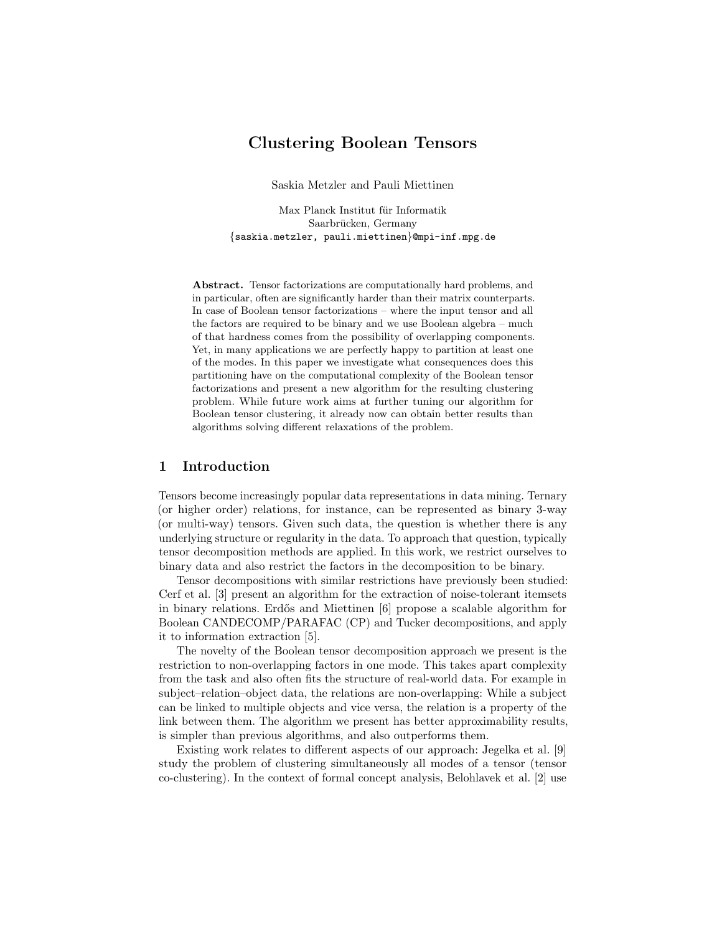# Clustering Boolean Tensors

Saskia Metzler and Pauli Miettinen

Max Planck Institut für Informatik Saarbrücken, Germany {saskia.metzler, pauli.miettinen}@mpi-inf.mpg.de

Abstract. Tensor factorizations are computationally hard problems, and in particular, often are significantly harder than their matrix counterparts. In case of Boolean tensor factorizations – where the input tensor and all the factors are required to be binary and we use Boolean algebra – much of that hardness comes from the possibility of overlapping components. Yet, in many applications we are perfectly happy to partition at least one of the modes. In this paper we investigate what consequences does this partitioning have on the computational complexity of the Boolean tensor factorizations and present a new algorithm for the resulting clustering problem. While future work aims at further tuning our algorithm for Boolean tensor clustering, it already now can obtain better results than algorithms solving different relaxations of the problem.

# 1 Introduction

Tensors become increasingly popular data representations in data mining. Ternary (or higher order) relations, for instance, can be represented as binary 3-way (or multi-way) tensors. Given such data, the question is whether there is any underlying structure or regularity in the data. To approach that question, typically tensor decomposition methods are applied. In this work, we restrict ourselves to binary data and also restrict the factors in the decomposition to be binary.

Tensor decompositions with similar restrictions have previously been studied: Cerf et al. [3] present an algorithm for the extraction of noise-tolerant itemsets in binary relations. Erd˝os and Miettinen [6] propose a scalable algorithm for Boolean CANDECOMP/PARAFAC (CP) and Tucker decompositions, and apply it to information extraction [5].

The novelty of the Boolean tensor decomposition approach we present is the restriction to non-overlapping factors in one mode. This takes apart complexity from the task and also often fits the structure of real-world data. For example in subject–relation–object data, the relations are non-overlapping: While a subject can be linked to multiple objects and vice versa, the relation is a property of the link between them. The algorithm we present has better approximability results, is simpler than previous algorithms, and also outperforms them.

Existing work relates to different aspects of our approach: Jegelka et al. [9] study the problem of clustering simultaneously all modes of a tensor (tensor co-clustering). In the context of formal concept analysis, Belohlavek et al. [2] use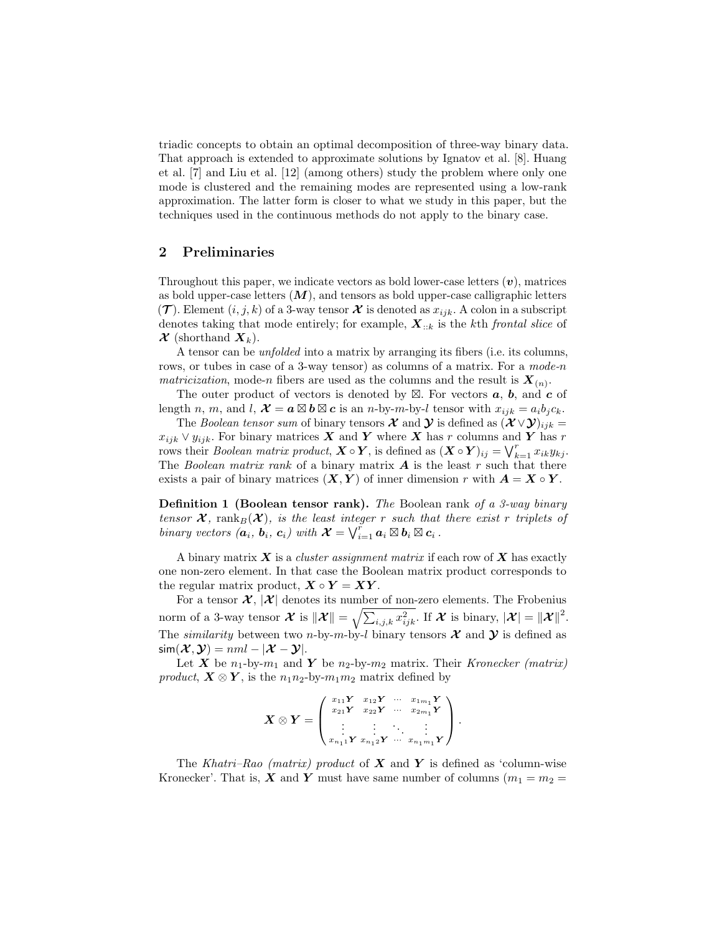triadic concepts to obtain an optimal decomposition of three-way binary data. That approach is extended to approximate solutions by Ignatov et al. [8]. Huang et al. [7] and Liu et al. [12] (among others) study the problem where only one mode is clustered and the remaining modes are represented using a low-rank approximation. The latter form is closer to what we study in this paper, but the techniques used in the continuous methods do not apply to the binary case.

## 2 Preliminaries

Throughout this paper, we indicate vectors as bold lower-case letters  $(v)$ , matrices as bold upper-case letters  $(M)$ , and tensors as bold upper-case calligraphic letters  $(\mathcal{T})$ . Element  $(i, j, k)$  of a 3-way tensor  $\mathcal X$  is denoted as  $x_{ijk}$ . A colon in a subscript denotes taking that mode entirely; for example,  $\mathbf{X}_{::k}$  is the kth frontal slice of  $\mathcal{X}$  (shorthand  $X_k$ ).

A tensor can be unfolded into a matrix by arranging its fibers (i.e. its columns, rows, or tubes in case of a 3-way tensor) as columns of a matrix. For a mode-n matricization, mode-n fibers are used as the columns and the result is  $\mathbf{X}_{(n)}$ .

The outer product of vectors is denoted by  $\boxtimes$ . For vectors **a**, **b**, and **c** of length n, m, and l,  $\mathcal{X} = a \boxtimes b \boxtimes c$  is an n-by-m-by-l tensor with  $x_{ijk} = a_i b_j c_k$ .

The Boolean tensor sum of binary tensors  $\mathcal X$  and  $\mathcal Y$  is defined as  $(\mathcal X \vee \mathcal Y)_{ijk} =$  $x_{ijk} \vee y_{ijk}$ . For binary matrices X and Y where X has r columns and Y has r rows their *Boolean matrix product*,  $\mathbf{X} \circ \mathbf{Y}$ , is defined as  $(\mathbf{X} \circ \mathbf{Y})_{ij} = \bigvee_{k=1}^{r} x_{ik}y_{kj}$ . The Boolean matrix rank of a binary matrix  $A$  is the least r such that there exists a pair of binary matrices  $(X, Y)$  of inner dimension r with  $A = X \circ Y$ .

Definition 1 (Boolean tensor rank). The Boolean rank of a 3-way binary tensor  $\mathcal{X}$ , rank $_B(\mathcal{X})$ , is the least integer r such that there exist r triplets of binary vectors  $(\mathbf{a}_i, \mathbf{b}_i, \mathbf{c}_i)$  with  $\mathcal{X} = \bigvee_{i=1}^r \mathbf{a}_i \boxtimes \mathbf{b}_i \boxtimes \mathbf{c}_i$ .

A binary matrix  $X$  is a *cluster assignment matrix* if each row of  $X$  has exactly one non-zero element. In that case the Boolean matrix product corresponds to the regular matrix product,  $X \circ Y = XY$ .

For a tensor  $\mathcal{X}, |\mathcal{X}|$  denotes its number of non-zero elements. The Frobenius norm of a 3-way tensor  $\mathcal{X}$  is  $\|\mathcal{X}\| = \sqrt{\sum_{i,j,k} x_{ijk}^2}$ . If  $\mathcal{X}$  is binary,  $|\mathcal{X}| = \|\mathcal{X}\|^2$ . The *similarity* between two *n*-by-*m*-by-*l* binary tensors  $\mathcal{X}$  and  $\mathcal{Y}$  is defined as  $\textsf{sim}(\boldsymbol{\mathcal{X}}, \boldsymbol{\mathcal{Y}}) = \textit{nml} - |\boldsymbol{\mathcal{X}} - \boldsymbol{\mathcal{Y}}|.$ 

Let X be  $n_1$ -by- $m_1$  and Y be  $n_2$ -by- $m_2$  matrix. Their Kronecker (matrix) product,  $X \otimes Y$ , is the  $n_1 n_2$ -by- $m_1 m_2$  matrix defined by

$$
\boldsymbol{X} \otimes \boldsymbol{Y} = \begin{pmatrix} x_{11} \boldsymbol{Y} & x_{12} \boldsymbol{Y} & \cdots & x_{1m_1} \boldsymbol{Y} \\ x_{21} \boldsymbol{Y} & x_{22} \boldsymbol{Y} & \cdots & x_{2m_1} \boldsymbol{Y} \\ \vdots & \vdots & \ddots & \vdots \\ x_{n_1 1} \boldsymbol{Y} & x_{n_1 2} \boldsymbol{Y} & \cdots & x_{n_1 m_1} \boldsymbol{Y} \end{pmatrix}.
$$

The Khatri–Rao (matrix) product of  $X$  and  $Y$  is defined as 'column-wise Kronecker'. That is, X and Y must have same number of columns  $(m_1 = m_2 =$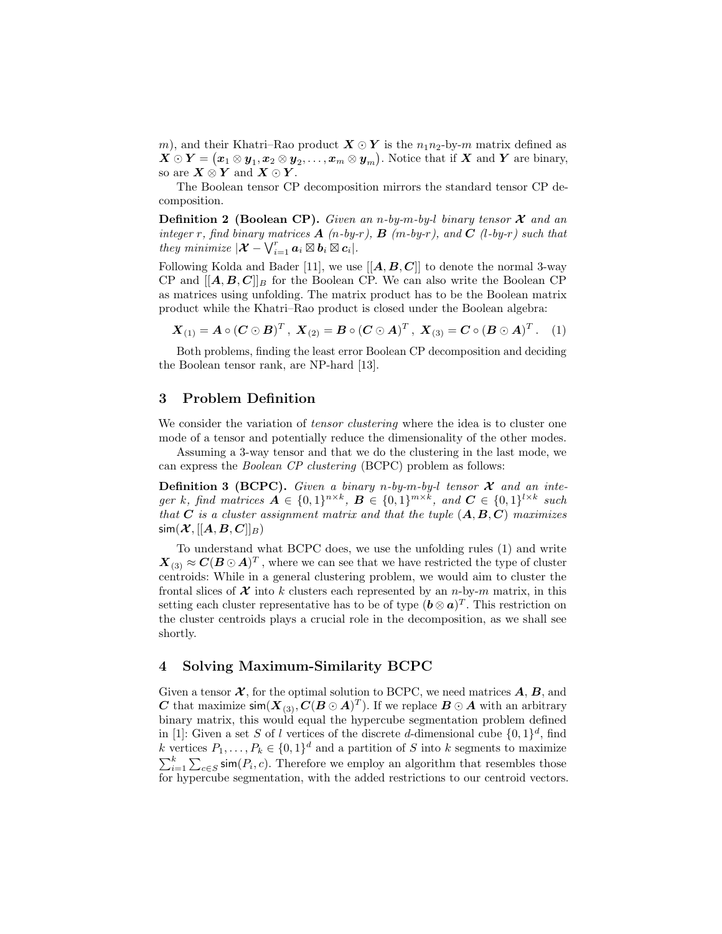m), and their Khatri–Rao product  $X \odot Y$  is the  $n_1 n_2$ -by-m matrix defined as  $X \odot Y = (\pmb{x}_1 \otimes \pmb{y}_1, \pmb{x}_2 \otimes \pmb{y}_2, \dots, \pmb{x}_m \otimes \pmb{y}_m).$  Notice that if  $\pmb{X}$  and  $\pmb{Y}$  are binary, so are  $X \otimes Y$  and  $X \odot Y$ .

The Boolean tensor CP decomposition mirrors the standard tensor CP decomposition.

**Definition 2 (Boolean CP).** Given an n-by-m-by-l binary tensor  $\mathcal{X}$  and an integer r, find binary matrices  $\bf{A}$  (n-by-r),  $\bf{B}$  (m-by-r), and  $\bf{C}$  (l-by-r) such that they minimize  $|\boldsymbol{\mathcal{X}} - \bigvee_{i=1}^r \boldsymbol{a}_i \boxtimes \boldsymbol{b}_i \boxtimes \boldsymbol{c}_i|.$ 

Following Kolda and Bader [11], we use  $[[A, B, C]]$  to denote the normal 3-way CP and  $[[A, B, C]]_B$  for the Boolean CP. We can also write the Boolean CP as matrices using unfolding. The matrix product has to be the Boolean matrix product while the Khatri–Rao product is closed under the Boolean algebra:

$$
X_{(1)} = A \circ (C \odot B)^T
$$
,  $X_{(2)} = B \circ (C \odot A)^T$ ,  $X_{(3)} = C \circ (B \odot A)^T$ . (1)

Both problems, finding the least error Boolean CP decomposition and deciding the Boolean tensor rank, are NP-hard [13].

## 3 Problem Definition

We consider the variation of *tensor clustering* where the idea is to cluster one mode of a tensor and potentially reduce the dimensionality of the other modes.

Assuming a 3-way tensor and that we do the clustering in the last mode, we can express the Boolean CP clustering (BCPC) problem as follows:

**Definition 3 (BCPC).** Given a binary n-by-m-by-l tensor  $\mathcal{X}$  and an integer k, find matrices  $A \in \{0,1\}^{n \times k}$ ,  $B \in \{0,1\}^{m \times k}$ , and  $C \in \{0,1\}^{l \times k}$  such that  $C$  is a cluster assignment matrix and that the tuple  $(A, B, C)$  maximizes  $\textsf{sim}(\boldsymbol{\mathcal{X}},[[\boldsymbol{A},\boldsymbol{B},\boldsymbol{C}]]_B)$ 

To understand what BCPC does, we use the unfolding rules (1) and write  $\boldsymbol{X}_{(3)} \approx \boldsymbol{C} (\boldsymbol{B} \odot \boldsymbol{A})^T$  , where we can see that we have restricted the type of cluster centroids: While in a general clustering problem, we would aim to cluster the frontal slices of  $\mathcal X$  into k clusters each represented by an n-by-m matrix, in this setting each cluster representative has to be of type  $(\mathbf{b} \otimes \mathbf{a})^T$ . This restriction on the cluster centroids plays a crucial role in the decomposition, as we shall see shortly.

# 4 Solving Maximum-Similarity BCPC

Given a tensor  $\mathcal{X}$ , for the optimal solution to BCPC, we need matrices  $\mathbf{A}, \mathbf{B}$ , and C that maximize  $\mathsf{sim}(X_{(3)}, C(B \odot A)^T)$ . If we replace  $B \odot A$  with an arbitrary binary matrix, this would equal the hypercube segmentation problem defined in [1]: Given a set S of l vertices of the discrete d-dimensional cube  $\{0,1\}^d$ , find k vertices  $P_1, \ldots, P_k \in \{0,1\}^d$  and a partition of S into k segments to maximize  $\sum_{i=1}^{k} \sum_{c \in S} \mathsf{sim}(P_i, c)$ . Therefore we employ an algorithm that resembles those for hypercube segmentation, with the added restrictions to our centroid vectors.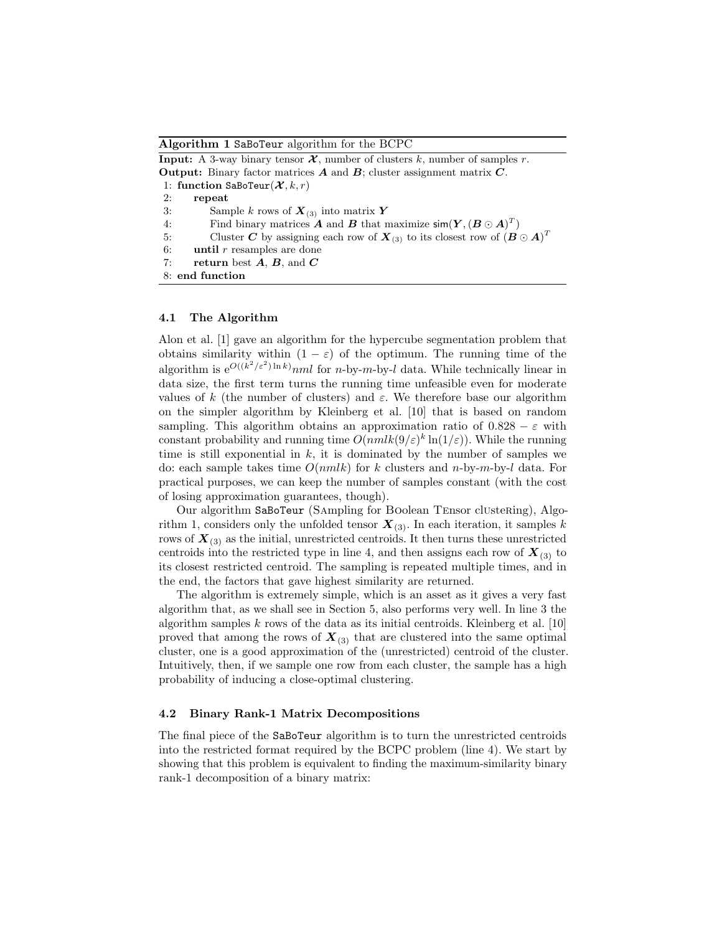Algorithm 1 SaBoTeur algorithm for the BCPC

**Input:** A 3-way binary tensor  $\mathcal{X}$ , number of clusters k, number of samples r. **Output:** Binary factor matrices  $\boldsymbol{A}$  and  $\boldsymbol{B}$ ; cluster assignment matrix  $\boldsymbol{C}$ . 1: function SaBoTeur $(\mathcal{X}, k, r)$ 2: repeat 3: Sample k rows of  $\mathbf{X}_{(3)}$  into matrix Y 4: Find binary matrices **A** and **B** that maximize  $\textsf{sim}(\boldsymbol{Y}, (\boldsymbol{B} \odot \boldsymbol{A})^T)$ 5: Cluster C by assigning each row of  $X_{(3)}$  to its closest row of  $(B \odot A)^T$ 6: **until**  $r$  resamples are done 7: return best  $A, B$ , and  $C$ 8: end function

## 4.1 The Algorithm

Alon et al. [1] gave an algorithm for the hypercube segmentation problem that obtains similarity within  $(1 - \varepsilon)$  of the optimum. The running time of the algorithm is  $e^{O((k^2/\varepsilon^2) \ln k)}$  *nml* for *n*-by-*m*-by-*l* data. While technically linear in data size, the first term turns the running time unfeasible even for moderate values of k (the number of clusters) and  $\varepsilon$ . We therefore base our algorithm on the simpler algorithm by Kleinberg et al. [10] that is based on random sampling. This algorithm obtains an approximation ratio of  $0.828 - \varepsilon$  with constant probability and running time  $O(nmlk(9/\varepsilon)^k \ln(1/\varepsilon))$ . While the running time is still exponential in  $k$ , it is dominated by the number of samples we do: each sample takes time  $O(nmlk)$  for k clusters and n-by-m-by-l data. For practical purposes, we can keep the number of samples constant (with the cost of losing approximation guarantees, though).

Our algorithm SaBoTeur (Sampling for Boolean Tensor clustering), Algorithm 1, considers only the unfolded tensor  $X_{(3)}$ . In each iteration, it samples k rows of  $X_{(3)}$  as the initial, unrestricted centroids. It then turns these unrestricted centroids into the restricted type in line 4, and then assigns each row of  $\mathbf{X}_{(3)}$  to its closest restricted centroid. The sampling is repeated multiple times, and in the end, the factors that gave highest similarity are returned.

The algorithm is extremely simple, which is an asset as it gives a very fast algorithm that, as we shall see in Section 5, also performs very well. In line 3 the algorithm samples  $k$  rows of the data as its initial centroids. Kleinberg et al. [10] proved that among the rows of  $X_{(3)}$  that are clustered into the same optimal cluster, one is a good approximation of the (unrestricted) centroid of the cluster. Intuitively, then, if we sample one row from each cluster, the sample has a high probability of inducing a close-optimal clustering.

### 4.2 Binary Rank-1 Matrix Decompositions

The final piece of the SaBoTeur algorithm is to turn the unrestricted centroids into the restricted format required by the BCPC problem (line 4). We start by showing that this problem is equivalent to finding the maximum-similarity binary rank-1 decomposition of a binary matrix: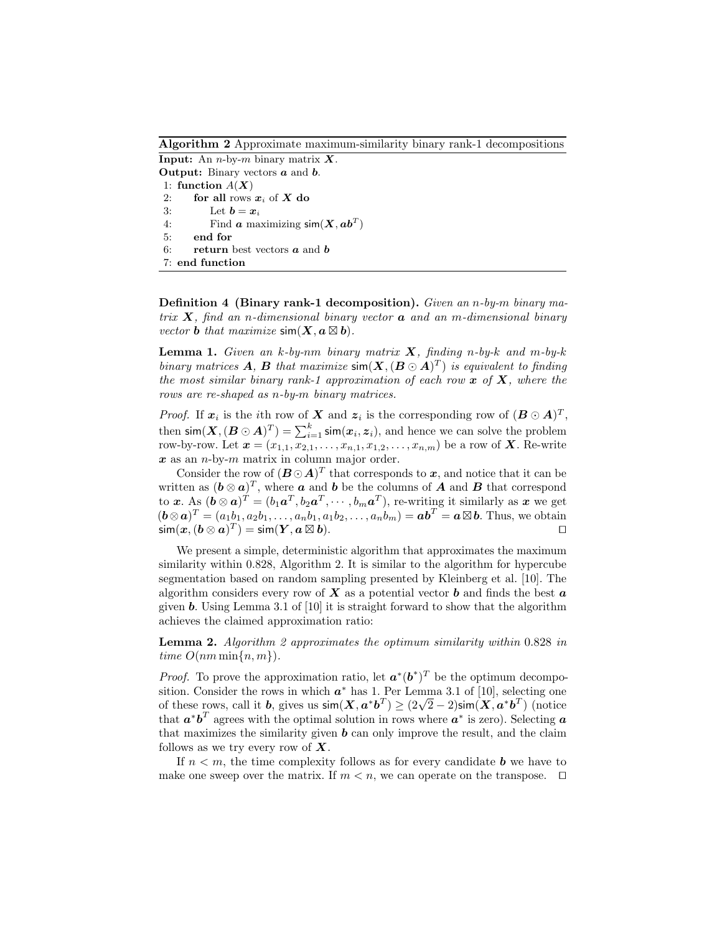Algorithm 2 Approximate maximum-similarity binary rank-1 decompositions

**Input:** An *n*-by-*m* binary matrix  $X$ . **Output:** Binary vectors  $a$  and  $b$ . 1: function  $A(X)$ 2: for all rows  $x_i$  of X do 3: Let  $\mathbf{b} = \mathbf{x}_i$ 4: Find  $\boldsymbol{a}$  maximizing  $\textsf{sim}(\boldsymbol{X}, \boldsymbol{a}\boldsymbol{b}^T)$ 5: end for 6: return best vectors  $\boldsymbol{a}$  and  $\boldsymbol{b}$ 7: end function

Definition 4 (Binary rank-1 decomposition). Given an n-by-m binary matrix  $\boldsymbol{X}$ , find an n-dimensional binary vector  $\boldsymbol{a}$  and an m-dimensional binary vector **b** that maximize  $\textsf{sim}(\boldsymbol{X}, \boldsymbol{a} \boxtimes \boldsymbol{b}).$ 

**Lemma 1.** Given an k-by-nm binary matrix  $X$ , finding n-by-k and m-by-k binary matrices **A**, **B** that maximize  $\textsf{sim}(X, (B \odot A)^T)$  is equivalent to finding the most similar binary rank-1 approximation of each row  $x$  of  $X$ , where the rows are re-shaped as n-by-m binary matrices.

*Proof.* If  $x_i$  is the *i*th row of X and  $z_i$  is the corresponding row of  $(B \odot A)^T$ , then  $\mathsf{sim}(\boldsymbol{X}, (\boldsymbol{B} \odot \boldsymbol{A})^T) = \sum_{i=1}^k \mathsf{sim}(\boldsymbol{x}_i, \boldsymbol{z}_i)$ , and hence we can solve the problem row-by-row. Let  $x = (x_{1,1}, x_{2,1}, \ldots, x_{n,1}, x_{1,2}, \ldots, x_{n,m})$  be a row of **X**. Re-write  $x$  as an *n*-by-*m* matrix in column major order.

Consider the row of  $(B\odot A)^T$  that corresponds to x, and notice that it can be written as  $(\boldsymbol{b} \otimes \boldsymbol{a})^T$ , where  $\boldsymbol{a}$  and  $\boldsymbol{b}$  be the columns of  $\boldsymbol{A}$  and  $\boldsymbol{B}$  that correspond to x. As  $(\bm{b} \otimes \bm{a})^T = (b_1 \bm{a}^T, b_2 \bm{a}^T, \cdots, b_m \bm{a}^T)$ , re-writing it similarly as x we get  $(\mathbf{b} \otimes \mathbf{a})^T = (a_1b_1, a_2b_1, \dots, a_nb_1, a_1b_2, \dots, a_nb_m) = \mathbf{a}\mathbf{b}^T = \mathbf{a} \boxtimes \mathbf{b}$ . Thus, we obtain  $\mathsf{sim}(\boldsymbol{x}, (\boldsymbol{b} \otimes \boldsymbol{a})^T) = \mathsf{sim}(\boldsymbol{Y}, \boldsymbol{a} \boxtimes$ b).  $\Box$ 

We present a simple, deterministic algorithm that approximates the maximum similarity within 0.828, Algorithm 2. It is similar to the algorithm for hypercube segmentation based on random sampling presented by Kleinberg et al. [10]. The algorithm considers every row of  $X$  as a potential vector  $\boldsymbol{b}$  and finds the best  $\boldsymbol{a}$ given **b**. Using Lemma 3.1 of [10] it is straight forward to show that the algorithm achieves the claimed approximation ratio:

Lemma 2. Algorithm 2 approximates the optimum similarity within 0.828 in time  $O(nm \min\{n, m\})$ .

*Proof.* To prove the approximation ratio, let  $\mathbf{a}^*(\mathbf{b}^*)^T$  be the optimum decomposition. Consider the rows in which  $a^*$  has 1. Per Lemma 3.1 of [10], selecting one sition. Consider the rows in which  $\mathbf{a}^*$  has 1. Per Lemma 3.1 or [10], selecting one of these rows, call it  $\mathbf{b}$ , gives us  $\text{sim}(\mathbf{X}, \mathbf{a}^* \mathbf{b}^T) \ge (2\sqrt{2} - 2)\text{sim}(\mathbf{X}, \mathbf{a}^* \mathbf{b}^T)$  (notice that  $a^*b^T$  agrees with the optimal solution in rows where  $a^*$  is zero). Selecting a that maximizes the similarity given  $\boldsymbol{b}$  can only improve the result, and the claim follows as we try every row of  $X$ .

If  $n \leq m$ , the time complexity follows as for every candidate **b** we have to make one sweep over the matrix. If  $m < n$ , we can operate on the transpose.  $\Box$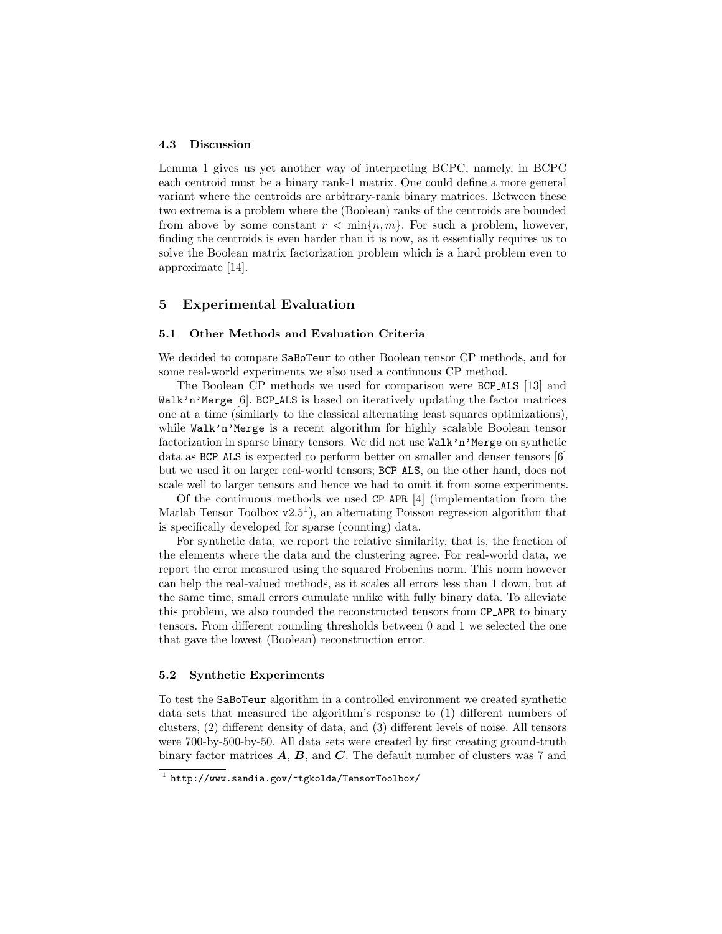#### 4.3 Discussion

Lemma 1 gives us yet another way of interpreting BCPC, namely, in BCPC each centroid must be a binary rank-1 matrix. One could define a more general variant where the centroids are arbitrary-rank binary matrices. Between these two extrema is a problem where the (Boolean) ranks of the centroids are bounded from above by some constant  $r < \min\{n, m\}$ . For such a problem, however, finding the centroids is even harder than it is now, as it essentially requires us to solve the Boolean matrix factorization problem which is a hard problem even to approximate [14].

# 5 Experimental Evaluation

### 5.1 Other Methods and Evaluation Criteria

We decided to compare SaBoTeur to other Boolean tensor CP methods, and for some real-world experiments we also used a continuous CP method.

The Boolean CP methods we used for comparison were BCP ALS [13] and Walk'n'Merge [6]. BCP ALS is based on iteratively updating the factor matrices one at a time (similarly to the classical alternating least squares optimizations), while Walk'n'Merge is a recent algorithm for highly scalable Boolean tensor factorization in sparse binary tensors. We did not use Walk'n'Merge on synthetic data as BCP ALS is expected to perform better on smaller and denser tensors [6] but we used it on larger real-world tensors; BCP ALS, on the other hand, does not scale well to larger tensors and hence we had to omit it from some experiments.

Of the continuous methods we used CP APR [4] (implementation from the Matlab Tensor Toolbox  $v2.5<sup>1</sup>$ ), an alternating Poisson regression algorithm that is specifically developed for sparse (counting) data.

For synthetic data, we report the relative similarity, that is, the fraction of the elements where the data and the clustering agree. For real-world data, we report the error measured using the squared Frobenius norm. This norm however can help the real-valued methods, as it scales all errors less than 1 down, but at the same time, small errors cumulate unlike with fully binary data. To alleviate this problem, we also rounded the reconstructed tensors from CP APR to binary tensors. From different rounding thresholds between 0 and 1 we selected the one that gave the lowest (Boolean) reconstruction error.

## 5.2 Synthetic Experiments

To test the SaBoTeur algorithm in a controlled environment we created synthetic data sets that measured the algorithm's response to (1) different numbers of clusters, (2) different density of data, and (3) different levels of noise. All tensors were 700-by-500-by-50. All data sets were created by first creating ground-truth binary factor matrices  $\vec{A}$ ,  $\vec{B}$ , and  $\vec{C}$ . The default number of clusters was 7 and

 $^{\rm 1}$  http://www.sandia.gov/~tgkolda/TensorToolbox/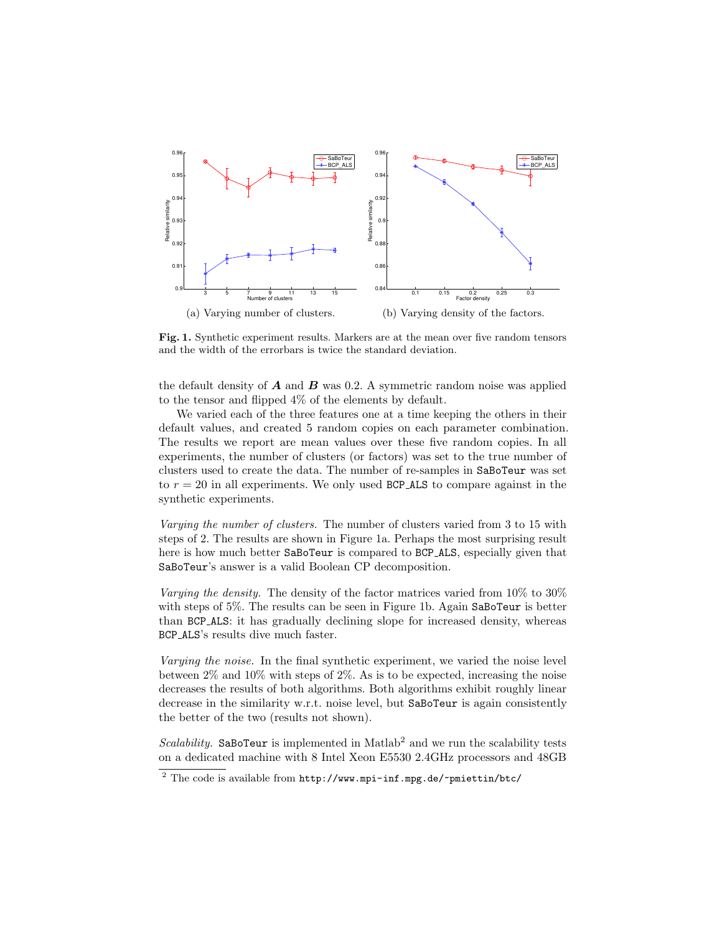

Fig. 1. Synthetic experiment results. Markers are at the mean over five random tensors and the width of the errorbars is twice the standard deviation.

the default density of  $\boldsymbol{A}$  and  $\boldsymbol{B}$  was 0.2. A symmetric random noise was applied to the tensor and flipped 4% of the elements by default.

We varied each of the three features one at a time keeping the others in their default values, and created 5 random copies on each parameter combination. The results we report are mean values over these five random copies. In all experiments, the number of clusters (or factors) was set to the true number of clusters used to create the data. The number of re-samples in SaBoTeur was set to  $r = 20$  in all experiments. We only used BCP\_ALS to compare against in the synthetic experiments.

Varying the number of clusters. The number of clusters varied from 3 to 15 with steps of 2. The results are shown in Figure 1a. Perhaps the most surprising result here is how much better SaBoTeur is compared to BCP ALS, especially given that SaBoTeur's answer is a valid Boolean CP decomposition.

Varying the density. The density of the factor matrices varied from 10\% to 30\% with steps of 5%. The results can be seen in Figure 1b. Again SaBoTeur is better than BCP ALS: it has gradually declining slope for increased density, whereas BCP ALS's results dive much faster.

Varying the noise. In the final synthetic experiment, we varied the noise level between 2% and 10% with steps of 2%. As is to be expected, increasing the noise decreases the results of both algorithms. Both algorithms exhibit roughly linear decrease in the similarity w.r.t. noise level, but SaBoTeur is again consistently the better of the two (results not shown).

Scalability. SaBoTeur is implemented in Matlab<sup>2</sup> and we run the scalability tests on a dedicated machine with 8 Intel Xeon E5530 2.4GHz processors and 48GB

 $\frac{2}{\pi}$  The code is available from http://www.mpi-inf.mpg.de/~pmiettin/btc/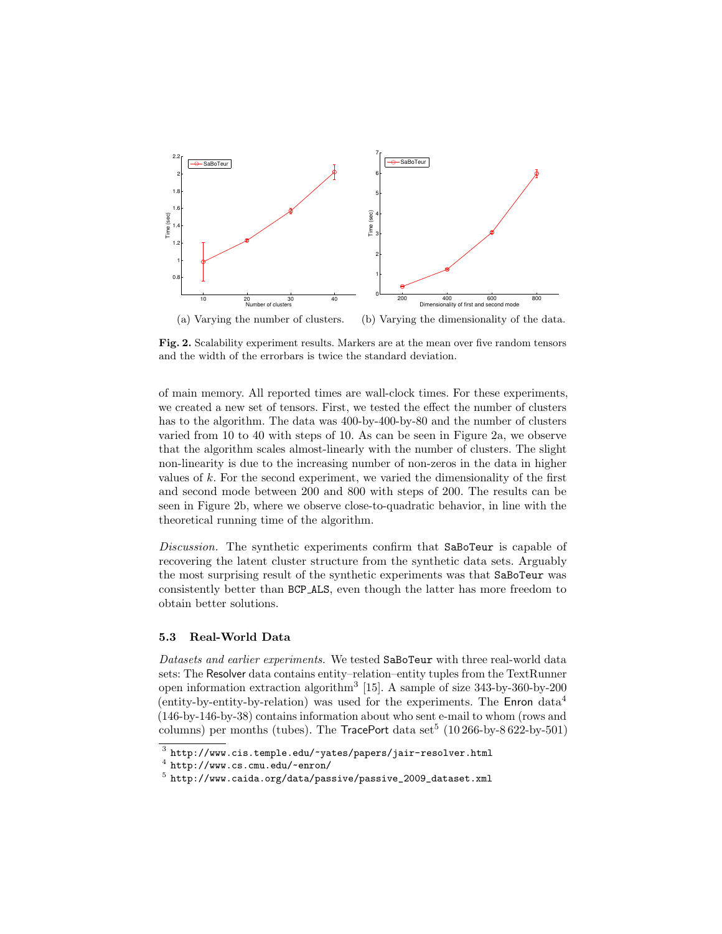

Fig. 2. Scalability experiment results. Markers are at the mean over five random tensors and the width of the errorbars is twice the standard deviation.

of main memory. All reported times are wall-clock times. For these experiments, we created a new set of tensors. First, we tested the effect the number of clusters has to the algorithm. The data was 400-by-400-by-80 and the number of clusters varied from 10 to 40 with steps of 10. As can be seen in Figure 2a, we observe that the algorithm scales almost-linearly with the number of clusters. The slight non-linearity is due to the increasing number of non-zeros in the data in higher values of  $k$ . For the second experiment, we varied the dimensionality of the first and second mode between 200 and 800 with steps of 200. The results can be seen in Figure 2b, where we observe close-to-quadratic behavior, in line with the theoretical running time of the algorithm.

Discussion. The synthetic experiments confirm that SaBoTeur is capable of recovering the latent cluster structure from the synthetic data sets. Arguably the most surprising result of the synthetic experiments was that SaBoTeur was consistently better than BCP ALS, even though the latter has more freedom to obtain better solutions.

## 5.3 Real-World Data

Datasets and earlier experiments. We tested SaBoTeur with three real-world data sets: The Resolver data contains entity–relation–entity tuples from the TextRunner open information extraction algorithm<sup>3</sup> [15]. A sample of size 343-by-360-by-200 (entity-by-entity-by-relation) was used for the experiments. The  $\mathsf{Enron}$  data<sup>4</sup> (146-by-146-by-38) contains information about who sent e-mail to whom (rows and columns) per months (tubes). The  $TracePort$  data set<sup>5</sup> (10 266-by-8 622-by-501)

 $\frac{3}{1}$  http://www.cis.temple.edu/~yates/papers/jair-resolver.html

 $\frac{4}{\pi}$  http://www.cs.cmu.edu/~enron/

 $^5$  http://www.caida.org/data/passive/passive\_2009\_dataset.xml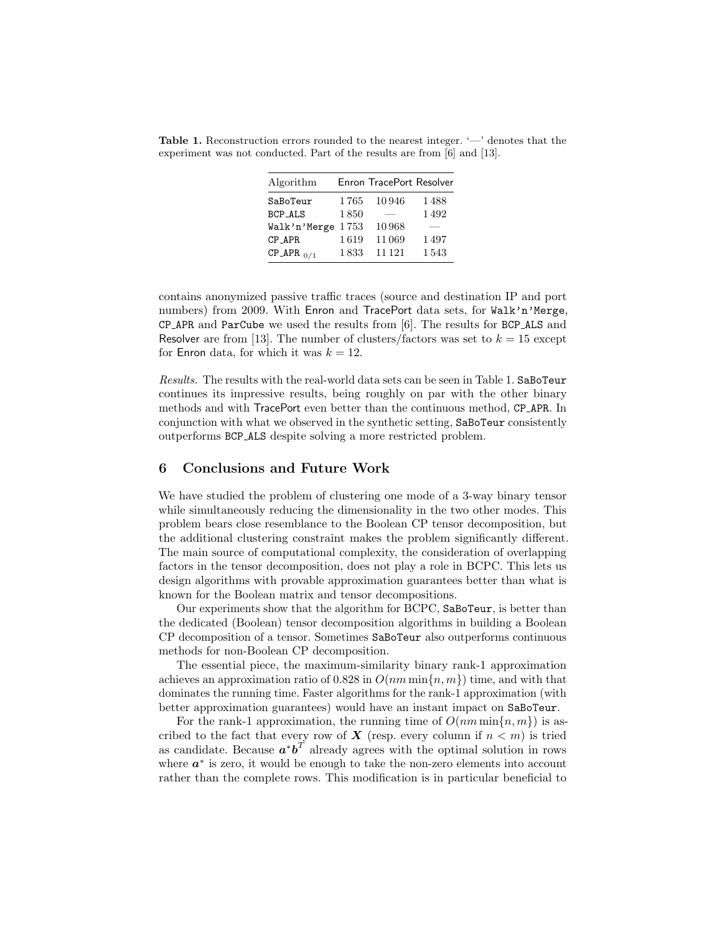Table 1. Reconstruction errors rounded to the nearest integer. '—' denotes that the experiment was not conducted. Part of the results are from [6] and [13].

| Algorithm         |      | Enron TracePort Resolver |      |
|-------------------|------|--------------------------|------|
| SaBoTeur          | 1765 | 10946                    | 1488 |
| <b>BCP_ALS</b>    | 1850 |                          | 1492 |
| Walk'n'Merge 1753 |      | 10968                    |      |
| CP_APR            | 1619 | 11069                    | 1497 |
| $CP_APR_{0/1}$    | 1833 | 11 1 21                  | 1543 |

contains anonymized passive traffic traces (source and destination IP and port numbers) from 2009. With Enron and TracePort data sets, for Walk'n'Merge. CP APR and ParCube we used the results from [6]. The results for BCP ALS and Resolver are from [13]. The number of clusters/factors was set to  $k = 15$  except for Enron data, for which it was  $k = 12$ .

Results. The results with the real-world data sets can be seen in Table 1. SaBoTeur continues its impressive results, being roughly on par with the other binary methods and with TracePort even better than the continuous method, CP APR. In conjunction with what we observed in the synthetic setting, SaBoTeur consistently outperforms BCP ALS despite solving a more restricted problem.

## 6 Conclusions and Future Work

We have studied the problem of clustering one mode of a 3-way binary tensor while simultaneously reducing the dimensionality in the two other modes. This problem bears close resemblance to the Boolean CP tensor decomposition, but the additional clustering constraint makes the problem significantly different. The main source of computational complexity, the consideration of overlapping factors in the tensor decomposition, does not play a role in BCPC. This lets us design algorithms with provable approximation guarantees better than what is known for the Boolean matrix and tensor decompositions.

Our experiments show that the algorithm for BCPC, SaBoTeur, is better than the dedicated (Boolean) tensor decomposition algorithms in building a Boolean CP decomposition of a tensor. Sometimes SaBoTeur also outperforms continuous methods for non-Boolean CP decomposition.

The essential piece, the maximum-similarity binary rank-1 approximation achieves an approximation ratio of 0.828 in  $O(nm \min\{n, m\})$  time, and with that dominates the running time. Faster algorithms for the rank-1 approximation (with better approximation guarantees) would have an instant impact on SaBoTeur.

For the rank-1 approximation, the running time of  $O(nm \min\{n, m\})$  is ascribed to the fact that every row of  $X$  (resp. every column if  $n < m$ ) is tried as candidate. Because  $a^*b^T$  already agrees with the optimal solution in rows where  $a^*$  is zero, it would be enough to take the non-zero elements into account rather than the complete rows. This modification is in particular beneficial to